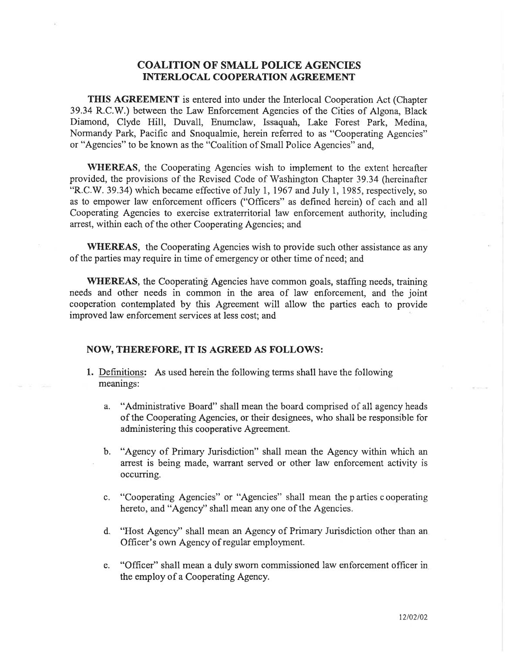## COALITION OF SMALL POLICE AGENCIES INTERLOCAL COOPERATION AGREEMENT

THIS AGREEMENT is entered into under the Interlocal Cooperation Act (Chapter 39.34 R.C.V/.) between the Law Enforcement Agencies of the Cities of Algona, Black Diamond, Clyde Hill, Duvall, Enumclaw, Issaquah, Lake Forest Park, Medina, Normandy Park, Pacific and Snoqualmie, herein referred to as "Cooperating Agencies" or "Agencies" to be known as the "Coalition of Small Police Agencies" and,

WHEREAS, the Cooperating Agencies wish to implement to the extent hereafter provided, the provisions of the Revised Code of Washington Chapter 39.34 (hereinafter "R.C.W. 39.34) which became effective of July 1,1967 and July 1, 1985, respectively, so as to empower law enforcement officers ("Officers" as defined herein) of each and all Cooperating Agencies to exercise extraterritorial law enforcement authority, including arrest, within each of the other Cooperating Agencies; and

WHEREAS, the Cooperating Agencies wish to provide such other assistance as any of the parties may require in time of emergency or other time of need; and

WHEREAS, the Cooperating Agencies have common goals, staffing needs, training needs and other needs in common in the area of law enforcement, and the joint cooperation contemplated by this Agreement will allow the parties each to provide improved law enforcement services at less cost; and

## NOW, THEREFORE, IT IS AGREED AS FOLLOWS:

- 1. Definitions: As used herein the following terms shall have the following meanings:
	- a. "Administrative Board" shall mean the board comprised of all agency heads of the Cooperating Agencies, or their designees, who shall be responsible for administering this cooperative Agreement.
	- b. "Agency of Primary Jurisdiction" shall mean the Agency within which an arrest is being made, warrant served or other law enforcement activity is occurring.
	- c. "Cooperating Agencies" or "Agencies" shall mean the p arties c ooperating hereto, and "Agency" shall mean any one of the Agencies.
	- d. "Host Agency" shall mean an Agency of Primary Jurisdiction other than an Officer's own Agency of regular employment.
	- "Officer" shall mean a duly sworn commissioned law enforcement officer in the employ of a Cooperating Agency. e.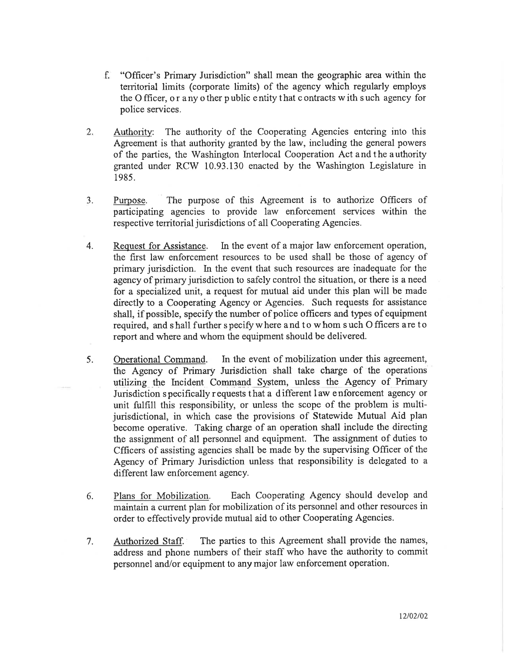- f. "Officer's Primary Jurisdiction" shall mean the geographic area within the territorial limits (corporate limits) of the agency which regularly employs the Officer, or any other public entity that contracts with such agency for police services.
- 2. Authority: The authority of the Cooperating Agencies entering into this Agreement is that authority granted by the law, including the general powers of the parties, the Washington Interlocal Cooperation Act and the authority granted under RCW 10.93.130 enacted by the Washington Legislature in 1985.
- J. Purpose. The purpose of this Agreement is to authorize Officers of participating agencies to provide law enforcement services within the respective territorial jurisdictions of all Cooperating Agencies.
- 4. Request for Assistance. In the event of a major law enforcement operation, the first law enforcement resources to be used shall be those of agency of primary jurisdiction. In the event that such resources are inadequate for the agency of primary jurisdiction to safely control the situation, or there is a need for a specialized unit, a request for mutual aid under this plan will be made directly to a Cooperating Agency or Agencies. Such requests for assistance shall, if possible, specify the number of police officers and types of equipment required, and shall further specify where and to whom such O fficers are to report and where and whom the equipment should be delivered.
- 5. Operational Command. In the event of mobilization under this agreement, the Agency of Primary Jurisdiction shall take charge of the operations utilizing the Incident Command System, unless the Agency of Primary Jurisdiction s pecifically r equests that a d ifferent I aw e nforcement agency or unit fulfill this responsibility, or unless the scope of the problem is multijurisdictional, in which case the provisions of Statewide Mutual Aid plan become operative. Taking charge of an operation shall include the directing the assignment of all personnel and equipment. The assignment of duties to Cfficers of assisting agencies shall be made by the supervising Officer of the Agency of Primary Jurisdiction unless that responsibility is delegated to <sup>a</sup> different law enforcement agency.
- 6. Plans for Mobilization. Each Cooperating Agency should develop and maintain a current plan for mobilization of its personnel and other resources in order to effectively provide mutual aid to other Cooperating Agencies.
- 7. Authorized Staff. The parties to this Agreement shall provide the names, address and phone numbers of their staff who have the authority to commit personnel and/or equipment to any major law enforcement operation.